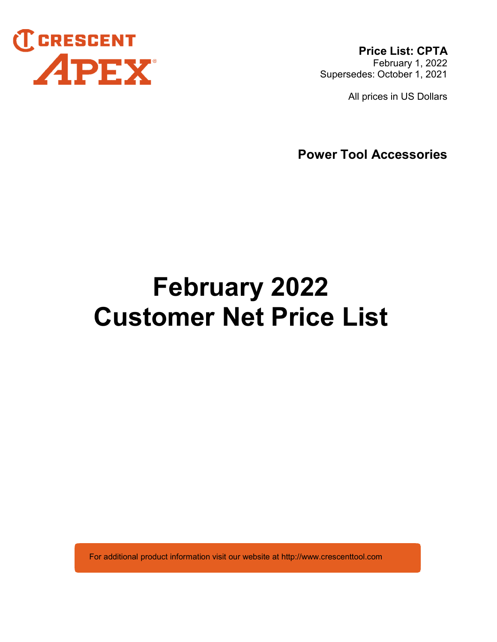

Price List: CPTA February 1, 2022 Supersedes: October 1, 2021

All prices in US Dollars

Power Tool Accessories

# February 2022 Customer Net Price List

For additional product information visit our website at http://www.crescenttool.com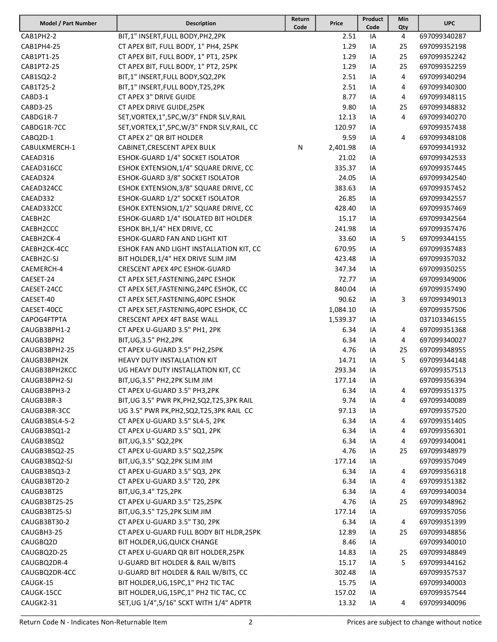| Model / Part Number | <b>Description</b>                            | Return<br>Code | Price    | Product<br>Code | Min<br>Qty | <b>UPC</b>   |
|---------------------|-----------------------------------------------|----------------|----------|-----------------|------------|--------------|
| CAB1PH2-2           | BIT,1" INSERT, FULL BODY, PH2, 2PK            |                | 2.51     | ΙA              | 4          | 697099340287 |
| CAB1PH4-25          | CT APEX BIT, FULL BODY, 1" PH4, 25PK          |                | 1.29     | IA              | 25         | 697099352198 |
| CAB1PT1-25          | CT APEX BIT, FULL BODY, 1" PT1, 25PK          |                | 1.29     | IA              | 25         | 697099352242 |
| CAB1PT2-25          | CT APEX BIT, FULL BODY, 1" PT2, 25PK          |                | 1.29     | IA              | 25         | 697099352259 |
| CAB1SQ2-2           | BIT,1" INSERT, FULL BODY, SQ2, 2PK            |                | 2.51     | ΙA              | 4          | 697099340294 |
| CAB1T25-2           | BIT,1" INSERT, FULL BODY, T25, 2PK            |                | 2.51     | IA              | 4          | 697099340300 |
| CABD3-1             | CT APEX 3" DRIVE GUIDE                        |                | 8.77     | ΙA              | 4          | 697099348115 |
| <b>CABD3-25</b>     | CT APEX DRIVE GUIDE, 25PK                     |                | 9.80     | ΙA              | 25         | 697099348832 |
| CABDG1R-7           | SET, VORTEX, 1", 5PC, W/3" FNDR SLV, RAIL     |                | 12.13    | IA              | 4          | 697099340270 |
| CABDG1R-7CC         | SET, VORTEX, 1", 5PC, W/3" FNDR SLV, RAIL, CC |                | 120.97   | IA              |            | 697099357438 |
| CABQ2D-1            | CT APEX 2" QR BIT HOLDER                      |                | 9.59     | IA              | 4          | 697099348108 |
| CABULKMERCH-1       | CABINET, CRESCENT APEX BULK                   | N              | 2,401.98 | IA              |            | 697099341932 |
| CAEAD316            | ESHOK-GUARD 1/4" SOCKET ISOLATOR              |                | 21.02    | IA              |            | 697099342533 |
| CAEAD316CC          | ESHOK EXTENSION, 1/4" SQUARE DRIVE, CC        |                | 335.37   | IA              |            | 697099357445 |
| CAEAD324            | ESHOK-GUARD 3/8" SOCKET ISOLATOR              |                | 24.05    | IA              |            | 697099342540 |
| CAEAD324CC          | ESHOK EXTENSION, 3/8" SQUARE DRIVE, CC        |                | 383.63   | IA              |            | 697099357452 |
| CAEAD332            | ESHOK-GUARD 1/2" SOCKET ISOLATOR              |                | 26.85    | IA              |            | 697099342557 |
| CAEAD332CC          | ESHOK EXTENSION, 1/2" SQUARE DRIVE, CC        |                | 428.40   | IA              |            | 697099357469 |
| CAEBH2C             | ESHOK-GUARD 1/4" ISOLATED BIT HOLDER          |                | 15.17    | IA              |            | 697099342564 |
| CAEBH2CCC           | ESHOK BH, 1/4" HEX DRIVE, CC                  |                | 241.98   | ΙA              |            | 697099357476 |
| CAEBH2CK-4          | <b>ESHOK-GUARD FAN AND LIGHT KIT</b>          |                | 33.60    | IA              | 5.         | 697099344155 |
| CAEBH2CK-4CC        | ESHOK FAN AND LIGHT INSTALLATION KIT, CC      |                | 670.95   | IA              |            | 697099357483 |
| CAEBH2C-SJ          | BIT HOLDER, 1/4" HEX DRIVE SLIM JIM           |                | 423.48   | IA              |            | 697099357032 |
| CAEMERCH-4          | <b>CRESCENT APEX 4PC ESHOK-GUARD</b>          |                | 347.34   | IA              |            | 697099350255 |
| CAESET-24           | CT APEX SET, FASTENING, 24PC ESHOK            |                | 72.77    | IA              |            | 697099349006 |
| CAESET-24CC         | CT APEX SET, FASTENING, 24PC ESHOK, CC        |                | 840.04   | IA              |            | 697099357490 |
| CAESET-40           | CT APEX SET, FASTENING, 40PC ESHOK            |                | 90.62    | IA              | 3          | 697099349013 |
| CAESET-40CC         | CT APEX SET, FASTENING, 40PC ESHOK, CC        |                | 1,084.10 | IA              |            | 697099357506 |
| CAPOG4FTPTA         | <b>CRESCENT APEX 4FT BASE WALL</b>            |                | 1,539.37 | IA              |            | 037103346155 |
| CAUGB3BPH1-2        | CT APEX U-GUARD 3.5" PH1, 2PK                 |                | 6.34     | IA              | 4          | 697099351368 |
| CAUGB3BPH2          | BIT, UG, 3.5" PH2, 2PK                        |                | 6.34     | ΙA              | 4          | 697099340027 |
| CAUGB3BPH2-25       | CT APEX U-GUARD 3.5" PH2,25PK                 |                | 4.76     | IA              | 25         | 697099348955 |
| CAUGB3BPH2K         | HEAVY DUTY INSTALLATION KIT                   |                | 14.71    | ΙA              | 5          | 697099344148 |
| CAUGB3BPH2KCC       | UG HEAVY DUTY INSTALLATION KIT, CC            |                | 293.34   | ΙA              |            | 697099357513 |
| CAUGB3BPH2-SJ       | BIT, UG, 3.5" PH2, 2PK SLIM JIM               |                | 177.14   | IA              |            | 697099356394 |
| CAUGB3BPH3-2        | CT APEX U-GUARD 3.5" PH3,2PK                  |                | 6.34     | IA              | 4          | 697099351375 |
| CAUGB3BR-3          | BIT, UG 3.5" PWR PK, PH2, SQ2, T25, 3PK RAIL  |                | 9.74     | IA              | 4          | 697099340089 |
| CAUGB3BR-3CC        | UG 3.5" PWR PK, PH2, SQ2, T25, 3PK RAIL CC    |                | 97.13    | IA              |            | 697099357520 |
| CAUGB3BSL4-5-2      | CT APEX U-GUARD 3.5" SL4-5, 2PK               |                | 6.34     | IA              | 4          | 697099351405 |
| CAUGB3BSQ1-2        | CT APEX U-GUARD 3.5" SQ1, 2PK                 |                | 6.34     | IA              | 4          | 697099356301 |
| CAUGB3BSQ2          | BIT, UG, 3.5" SQ 2, 2PK                       |                | 6.34     | IA              | 4          | 697099340041 |
| CAUGB3BSQ2-25       | CT APEX U-GUARD 3.5" SQ2,25PK                 |                | 4.76     | IA              | 25         | 697099348979 |
| CAUGB3BSQ2-SJ       | BIT, UG, 3.5" SQ2, 2PK SLIM JIM               |                | 177.14   | IA              |            | 697099357049 |
| CAUGB3BSQ3-2        | CT APEX U-GUARD 3.5" SQ3, 2PK                 |                | 6.34     | IA              | 4          | 697099356318 |
| CAUGB3BT20-2        | CT APEX U-GUARD 3.5" T20, 2PK                 |                | 6.34     | ΙA              | 4          | 697099351382 |
| CAUGB3BT25          | BIT, UG, 3.4" T25, 2PK                        |                | 6.34     | ΙA              | 4          | 697099340034 |
| CAUGB3BT25-25       | CT APEX U-GUARD 3.5" T25,25PK                 |                | 4.76     | IA              | 25         | 697099348962 |
| CAUGB3BT25-SJ       | BIT, UG, 3.5" T25, 2PK SLIM JIM               |                | 177.14   | IA              |            | 697099357056 |
| CAUGB3BT30-2        | CT APEX U-GUARD 3.5" T30, 2PK                 |                | 6.34     | ΙA              | 4          | 697099351399 |
| CAUGBH3-25          | CT APEX U-GUARD FULL BODY BIT HLDR, 25PK      |                | 12.89    | IA              | 25         | 697099348856 |
| CAUGBQ2D            | BIT HOLDER, UG, QUICK CHANGE                  |                | 8.46     | IA              |            | 697099340010 |
| CAUGBQ2D-25         | CT APEX U-GUARD QR BIT HOLDER, 25PK           |                | 14.83    | IA              | 25         | 697099348849 |
| CAUGBQ2DR-4         | U-GUARD BIT HOLDER & RAIL W/BITS              |                | 15.17    | IA              | 5          | 697099344162 |
| CAUGBQ2DR-4CC       | U-GUARD BIT HOLDER & RAIL W/BITS, CC          |                | 302.48   | IA              |            | 697099357537 |
| CAUGK-15            | BIT HOLDER, UG, 15PC, 1" PH2 TIC TAC          |                | 15.75    | IA              |            | 697099340003 |
| CAUGK-15CC          | BIT HOLDER, UG, 15PC, 1" PH2 TIC TAC, CC      |                | 157.02   | IA              |            | 697099357544 |
| CAUGK2-31           | SET, UG 1/4", 5/16" SCKT WITH 1/4" ADPTR      |                | 13.32    | IA              | 4          | 697099340096 |
|                     |                                               |                |          |                 |            |              |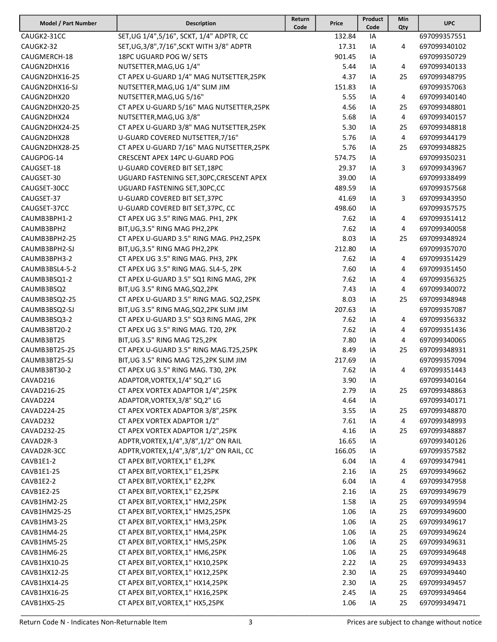| Model / Part Number | <b>Description</b>                          | Return<br>Code | Price  | Product<br>Code | Min<br>Qty | <b>UPC</b>   |
|---------------------|---------------------------------------------|----------------|--------|-----------------|------------|--------------|
| CAUGK2-31CC         | SET, UG 1/4", 5/16", SCKT, 1/4" ADPTR, CC   |                | 132.84 | IA              |            | 697099357551 |
| CAUGK2-32           | SET, UG, 3/8", 7/16", SCKT WITH 3/8" ADPTR  |                | 17.31  | IA              | 4          | 697099340102 |
| CAUGMERCH-18        | 18PC UGUARD POG W/ SETS                     |                | 901.45 | IA              |            | 697099350729 |
| CAUGN2DHX16         | NUTSETTER, MAG, UG 1/4"                     |                | 5.44   | IA              | 4          | 697099340133 |
| CAUGN2DHX16-25      | CT APEX U-GUARD 1/4" MAG NUTSETTER, 25PK    |                | 4.37   | IA              | 25         | 697099348795 |
| CAUGN2DHX16-SJ      | NUTSETTER, MAG, UG 1/4" SLIM JIM            |                | 151.83 | IA              |            | 697099357063 |
| CAUGN2DHX20         | NUTSETTER, MAG, UG 5/16"                    |                | 5.55   | IA              | 4          | 697099340140 |
| CAUGN2DHX20-25      | CT APEX U-GUARD 5/16" MAG NUTSETTER, 25PK   |                | 4.56   | IA              | 25         | 697099348801 |
| CAUGN2DHX24         | NUTSETTER, MAG, UG 3/8"                     |                | 5.68   |                 | 4          | 697099340157 |
|                     |                                             |                |        | IA              |            |              |
| CAUGN2DHX24-25      | CT APEX U-GUARD 3/8" MAG NUTSETTER, 25PK    |                | 5.30   | IA              | 25         | 697099348818 |
| CAUGN2DHX28         | U-GUARD COVERED NUTSETTER, 7/16"            |                | 5.76   | IA              | 4          | 697099344179 |
| CAUGN2DHX28-25      | CT APEX U-GUARD 7/16" MAG NUTSETTER, 25PK   |                | 5.76   | IA              | 25         | 697099348825 |
| CAUGPOG-14          | CRESCENT APEX 14PC U-GUARD POG              |                | 574.75 | IA              |            | 697099350231 |
| CAUGSET-18          | U-GUARD COVERED BIT SET, 18PC               |                | 29.37  | IA              | 3          | 697099343967 |
| CAUGSET-30          | UGUARD FASTENING SET, 30PC, CRESCENT APEX   |                | 39.00  | IA              |            | 697099338499 |
| CAUGSET-30CC        | UGUARD FASTENING SET, 30PC, CC              |                | 489.59 | IA              |            | 697099357568 |
| CAUGSET-37          | U-GUARD COVERED BIT SET, 37PC               |                | 41.69  | IA              | 3          | 697099343950 |
| CAUGSET-37CC        | U-GUARD COVERED BIT SET, 37PC, CC           |                | 498.60 | IA              |            | 697099357575 |
| CAUMB3BPH1-2        | CT APEX UG 3.5" RING MAG. PH1, 2PK          |                | 7.62   | IA              | 4          | 697099351412 |
| CAUMB3BPH2          | BIT, UG, 3.5" RING MAG PH2, 2PK             |                | 7.62   | IA              | 4          | 697099340058 |
| CAUMB3BPH2-25       | CT APEX U-GUARD 3.5" RING MAG. PH2,25PK     |                | 8.03   | IA              | 25         | 697099348924 |
| CAUMB3BPH2-SJ       | BIT, UG, 3.5" RING MAG PH2, 2PK             |                | 212.80 | IA              |            | 697099357070 |
| CAUMB3BPH3-2        | CT APEX UG 3.5" RING MAG. PH3, 2PK          |                | 7.62   | IA              | 4          | 697099351429 |
| CAUMB3BSL4-5-2      | CT APEX UG 3.5" RING MAG. SL4-5, 2PK        |                | 7.60   | IA              | 4          | 697099351450 |
| CAUMB3BSQ1-2        | CT APEX U-GUARD 3.5" SQ1 RING MAG, 2PK      |                | 7.62   | IA              | 4          | 697099356325 |
| CAUMB3BSQ2          | BIT, UG 3.5" RING MAG, SQ2, 2PK             |                | 7.43   | IA              | 4          | 697099340072 |
| CAUMB3BSQ2-25       | CT APEX U-GUARD 3.5" RING MAG. SQ2,25PK     |                | 8.03   | IA              | 25         | 697099348948 |
| CAUMB3BSQ2-SJ       | BIT, UG 3.5" RING MAG, SQ2, 2PK SLIM JIM    |                | 207.63 | IA              |            | 697099357087 |
| CAUMB3BSQ3-2        | CT APEX U-GUARD 3.5" SQ3 RING MAG, 2PK      |                | 7.62   | IA              | 4          | 697099356332 |
| CAUMB3BT20-2        | CT APEX UG 3.5" RING MAG. T20, 2PK          |                | 7.62   | IA              | 4          | 697099351436 |
| CAUMB3BT25          | BIT, UG 3.5" RING MAG T25, 2PK              |                | 7.80   | IA              | 4          | 697099340065 |
| CAUMB3BT25-25       | CT APEX U-GUARD 3.5" RING MAG.T25,25PK      |                | 8.49   | IA              | 25         | 697099348931 |
| CAUMB3BT25-SJ       | BIT, UG 3.5" RING MAG T25, 2PK SLIM JIM     |                | 217.69 | IA              |            | 697099357094 |
| CAUMB3BT30-2        | CT APEX UG 3.5" RING MAG. T30, 2PK          |                | 7.62   | IA              | 4          | 697099351443 |
| CAVAD216            | ADAPTOR, VORTEX, 1/4" SQ, 2" LG             |                | 3.90   | IA              |            | 697099340164 |
| CAVAD216-25         | CT APEX VORTEX ADAPTOR 1/4",25PK            |                | 2.79   | IA              | 25         | 697099348863 |
| CAVAD224            | ADAPTOR, VORTEX, 3/8" SQ, 2" LG             |                | 4.64   | IA              |            | 697099340171 |
| CAVAD224-25         | CT APEX VORTEX ADAPTOR 3/8",25PK            |                | 3.55   | IA              | 25         | 697099348870 |
| CAVAD232            | CT APEX VORTEX ADAPTOR 1/2"                 |                | 7.61   | IA              | 4          | 697099348993 |
| CAVAD232-25         | CT APEX VORTEX ADAPTOR 1/2",25PK            |                | 4.16   | IA              | 25         | 697099348887 |
| CAVAD2R-3           | ADPTR, VORTEX, 1/4", 3/8", 1/2" ON RAIL     |                | 16.65  | IA              |            | 697099340126 |
| CAVAD2R-3CC         | ADPTR, VORTEX, 1/4", 3/8", 1/2" ON RAIL, CC |                | 166.05 | IA              |            | 697099357582 |
| CAVB1E1-2           | CT APEX BIT, VORTEX, 1" E1, 2PK             |                | 6.04   | IA              | 4          | 697099347941 |
| CAVB1E1-25          | CT APEX BIT, VORTEX, 1" E1, 25PK            |                | 2.16   | IA              | 25         | 697099349662 |
| CAVB1E2-2           | CT APEX BIT, VORTEX, 1" E2, 2PK             |                | 6.04   |                 |            | 697099347958 |
|                     |                                             |                |        | IA              | 4          |              |
| CAVB1E2-25          | CT APEX BIT, VORTEX, 1" E2, 25PK            |                | 2.16   | IA              | 25         | 697099349679 |
| CAVB1HM2-25         | CT APEX BIT, VORTEX, 1" HM2, 25PK           |                | 1.58   | IA              | 25         | 697099349594 |
| CAVB1HM25-25        | CT APEX BIT, VORTEX, 1" HM25, 25PK          |                | 1.06   | IA              | 25         | 697099349600 |
| CAVB1HM3-25         | CT APEX BIT, VORTEX, 1" HM3, 25PK           |                | 1.06   | IA              | 25         | 697099349617 |
| CAVB1HM4-25         | CT APEX BIT, VORTEX, 1" HM4, 25PK           |                | 1.06   | IA              | 25         | 697099349624 |
| CAVB1HM5-25         | CT APEX BIT, VORTEX, 1" HM5, 25PK           |                | 1.06   | IA              | 25         | 697099349631 |
| CAVB1HM6-25         | CT APEX BIT, VORTEX, 1" HM6, 25PK           |                | 1.06   | IA              | 25         | 697099349648 |
| CAVB1HX10-25        | CT APEX BIT, VORTEX, 1" HX10, 25PK          |                | 2.22   | IA              | 25         | 697099349433 |
| CAVB1HX12-25        | CT APEX BIT, VORTEX, 1" HX12, 25PK          |                | 2.30   | IA              | 25         | 697099349440 |
| CAVB1HX14-25        | CT APEX BIT, VORTEX, 1" HX14, 25PK          |                | 2.30   | IA              | 25         | 697099349457 |
| CAVB1HX16-25        | CT APEX BIT, VORTEX, 1" HX16, 25PK          |                | 2.45   | IA              | 25         | 697099349464 |
| CAVB1HX5-25         | CT APEX BIT, VORTEX, 1" HX5, 25PK           |                | 1.06   | IA              | 25         | 697099349471 |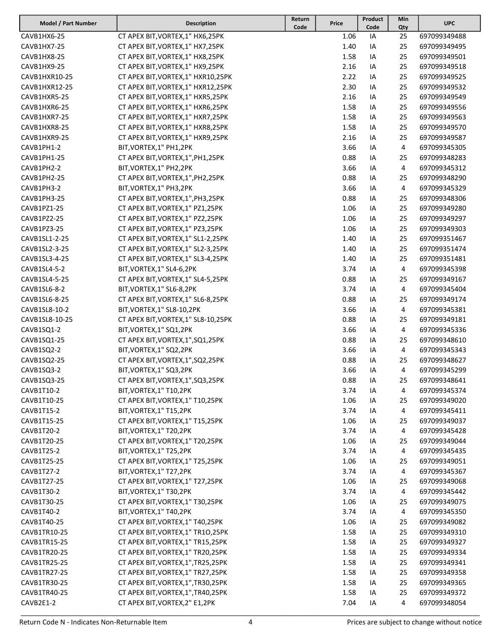| Model / Part Number | <b>Description</b>                   | Return<br>Code | Price | Product<br>Code | Min<br>Qty | <b>UPC</b>   |
|---------------------|--------------------------------------|----------------|-------|-----------------|------------|--------------|
| CAVB1HX6-25         | CT APEX BIT, VORTEX, 1" HX6, 25PK    |                | 1.06  | IA              | 25         | 697099349488 |
| CAVB1HX7-25         | CT APEX BIT, VORTEX, 1" HX7, 25PK    |                | 1.40  | IA              | 25         | 697099349495 |
| CAVB1HX8-25         | CT APEX BIT, VORTEX, 1" HX8, 25PK    |                | 1.58  | IA              | 25         | 697099349501 |
| CAVB1HX9-25         | CT APEX BIT, VORTEX, 1" HX9, 25PK    |                | 2.16  | IA              | 25         | 697099349518 |
| CAVB1HXR10-25       | CT APEX BIT, VORTEX, 1" HXR10, 25PK  |                | 2.22  | IA              | 25         | 697099349525 |
| CAVB1HXR12-25       | CT APEX BIT, VORTEX, 1" HXR12, 25PK  |                | 2.30  | IA              | 25         | 697099349532 |
| CAVB1HXR5-25        | CT APEX BIT, VORTEX, 1" HXR5, 25PK   |                | 2.16  | ΙA              | 25         | 697099349549 |
| CAVB1HXR6-25        | CT APEX BIT, VORTEX, 1" HXR6, 25PK   |                | 1.58  | IA              | 25         | 697099349556 |
| CAVB1HXR7-25        | CT APEX BIT, VORTEX, 1" HXR7, 25PK   |                | 1.58  | IA              | 25         | 697099349563 |
| CAVB1HXR8-25        | CT APEX BIT, VORTEX, 1" HXR8, 25PK   |                | 1.58  | ΙA              | 25         | 697099349570 |
| CAVB1HXR9-25        | CT APEX BIT, VORTEX, 1" HXR9, 25PK   |                | 2.16  | IA              | 25         | 697099349587 |
| CAVB1PH1-2          | BIT, VORTEX, 1" PH1, 2PK             |                | 3.66  | IA              | 4          | 697099345305 |
| CAVB1PH1-25         | CT APEX BIT, VORTEX, 1", PH1, 25PK   |                | 0.88  | IA              | 25         | 697099348283 |
| CAVB1PH2-2          | BIT, VORTEX, 1" PH2, 2PK             |                | 3.66  | IA              | 4          | 697099345312 |
| CAVB1PH2-25         | CT APEX BIT, VORTEX, 1", PH2, 25PK   |                | 0.88  | IA              | 25         | 697099348290 |
| CAVB1PH3-2          | BIT, VORTEX, 1" PH3, 2PK             |                | 3.66  | IA              | 4          | 697099345329 |
| CAVB1PH3-25         | CT APEX BIT, VORTEX, 1", PH3, 25PK   |                | 0.88  | ΙA              | 25         | 697099348306 |
| CAVB1PZ1-25         | CT APEX BIT, VORTEX, 1" PZ1, 25PK    |                | 1.06  | IA              | 25         | 697099349280 |
| CAVB1PZ2-25         | CT APEX BIT, VORTEX, 1" PZ2, 25PK    |                | 1.06  | ΙA              | 25         | 697099349297 |
| CAVB1PZ3-25         | CT APEX BIT, VORTEX, 1" PZ3, 25PK    |                | 1.06  | IA              | 25         | 697099349303 |
| CAVB1SL1-2-25       | CT APEX BIT, VORTEX, 1" SL1-2, 25PK  |                | 1.40  | IA              | 25         | 697099351467 |
| CAVB1SL2-3-25       | CT APEX BIT, VORTEX, 1" SL2-3, 25PK  |                | 1.40  | ΙA              | 25         | 697099351474 |
| CAVB1SL3-4-25       | CT APEX BIT, VORTEX, 1" SL3-4, 25PK  |                | 1.40  | IA              | 25         | 697099351481 |
| CAVB1SL4-5-2        | BIT, VORTEX, 1" SL4-6, 2PK           |                | 3.74  | IA              | 4          | 697099345398 |
| CAVB1SL4-5-25       | CT APEX BIT, VORTEX, 1" SL4-5, 25PK  |                | 0.88  | ΙA              | 25         | 697099349167 |
| CAVB1SL6-8-2        | BIT, VORTEX, 1" SL6-8, 2PK           |                | 3.74  | ΙA              | 4          | 697099345404 |
| CAVB1SL6-8-25       | CT APEX BIT, VORTEX, 1" SL6-8, 25PK  |                | 0.88  | IA              | 25         | 697099349174 |
| CAVB1SL8-10-2       | BIT, VORTEX, 1" SL8-10, 2PK          |                | 3.66  |                 | 4          | 697099345381 |
| CAVB1SL8-10-25      |                                      |                | 0.88  | IA              | 25         | 697099349181 |
|                     | CT APEX BIT, VORTEX, 1" SL8-10, 25PK |                | 3.66  | IA              | 4          |              |
| CAVB1SQ1-2          | BIT, VORTEX, 1" SQ1, 2PK             |                | 0.88  | IA              | 25         | 697099345336 |
| CAVB1SQ1-25         | CT APEX BIT, VORTEX, 1", SQ1, 25PK   |                |       | IA              |            | 697099348610 |
| CAVB1SQ2-2          | BIT, VORTEX, 1" SQ2, 2PK             |                | 3.66  | IA              | 4          | 697099345343 |
| CAVB1SQ2-25         | CT APEX BIT, VORTEX, 1", SQ2, 25PK   |                | 0.88  | IA              | 25         | 697099348627 |
| CAVB1SQ3-2          | BIT, VORTEX, 1" SQ3, 2PK             |                | 3.66  | ΙA              | 4          | 697099345299 |
| CAVB1SQ3-25         | CT APEX BIT, VORTEX, 1", SQ3, 25PK   |                | 0.88  | IA              | 25         | 697099348641 |
| CAVB1T10-2          | BIT, VORTEX, 1" T10, 2PK             |                | 3.74  | IA              | 4          | 697099345374 |
| CAVB1T10-25         | CT APEX BIT, VORTEX, 1" T10, 25PK    |                | 1.06  | IA              | 25         | 697099349020 |
| CAVB1T15-2          | BIT, VORTEX, 1" T15, 2PK             |                | 3.74  | IA              | 4          | 697099345411 |
| CAVB1T15-25         | CT APEX BIT, VORTEX, 1" T15, 25PK    |                | 1.06  | IA              | 25         | 697099349037 |
| CAVB1T20-2          | BIT, VORTEX, 1" T20, 2PK             |                | 3.74  | ΙA              | 4          | 697099345428 |
| CAVB1T20-25         | CT APEX BIT, VORTEX, 1" T20, 25PK    |                | 1.06  | IA              | 25         | 697099349044 |
| CAVB1T25-2          | BIT, VORTEX, 1" T25, 2PK             |                | 3.74  | ΙA              | 4          | 697099345435 |
| CAVB1T25-25         | CT APEX BIT, VORTEX, 1" T25, 25PK    |                | 1.06  | IA              | 25         | 697099349051 |
| CAVB1T27-2          | BIT, VORTEX, 1" T27, 2PK             |                | 3.74  | IA              | 4          | 697099345367 |
| CAVB1T27-25         | CT APEX BIT, VORTEX, 1" T27, 25PK    |                | 1.06  | IA              | 25         | 697099349068 |
| CAVB1T30-2          | BIT, VORTEX, 1" T30, 2PK             |                | 3.74  | IA              | 4          | 697099345442 |
| CAVB1T30-25         | CT APEX BIT, VORTEX, 1" T30, 25PK    |                | 1.06  | IA              | 25         | 697099349075 |
| CAVB1T40-2          | BIT, VORTEX, 1" T40, 2PK             |                | 3.74  | IA              | 4          | 697099345350 |
| CAVB1T40-25         | CT APEX BIT, VORTEX, 1" T40, 25PK    |                | 1.06  | IA              | 25         | 697099349082 |
| CAVB1TR10-25        | CT APEX BIT, VORTEX, 1" TR10, 25PK   |                | 1.58  | IA              | 25         | 697099349310 |
| CAVB1TR15-25        | CT APEX BIT, VORTEX, 1" TR15, 25PK   |                | 1.58  | IA              | 25         | 697099349327 |
| CAVB1TR20-25        | CT APEX BIT, VORTEX, 1" TR20, 25PK   |                | 1.58  | IA              | 25         | 697099349334 |
| CAVB1TR25-25        | CT APEX BIT, VORTEX, 1", TR25, 25PK  |                | 1.58  | IA              | 25         | 697099349341 |
| CAVB1TR27-25        | CT APEX BIT, VORTEX, 1" TR27, 25PK   |                | 1.58  | IA              | 25         | 697099349358 |
| CAVB1TR30-25        | CT APEX BIT, VORTEX, 1", TR30, 25PK  |                | 1.58  | IA              | 25         | 697099349365 |
| CAVB1TR40-25        | CT APEX BIT, VORTEX, 1", TR40, 25PK  |                | 1.58  | IA              | 25         | 697099349372 |
| CAVB2E1-2           | CT APEX BIT, VORTEX, 2" E1, 2PK      |                | 7.04  | IA              | 4          | 697099348054 |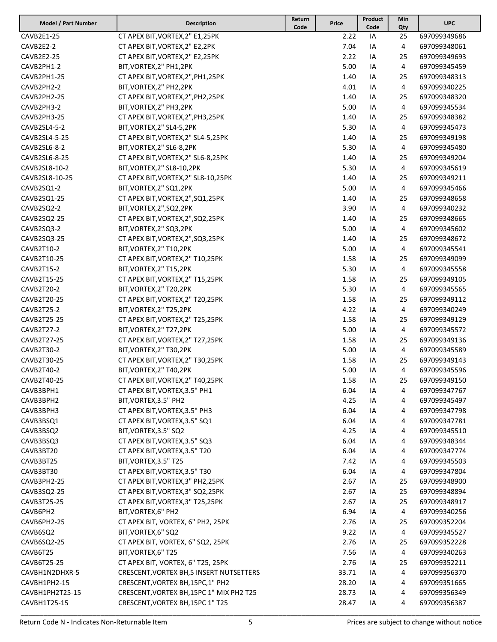| Model / Part Number | <b>Description</b>                       | Return<br>Code | Price | Product<br>Code | Min<br>Qty | <b>UPC</b>   |
|---------------------|------------------------------------------|----------------|-------|-----------------|------------|--------------|
| CAVB2E1-25          | CT APEX BIT, VORTEX, 2" E1, 25PK         |                | 2.22  | IA              | 25         | 697099349686 |
| CAVB2E2-2           | CT APEX BIT, VORTEX, 2" E2, 2PK          |                | 7.04  | IA              | 4          | 697099348061 |
| CAVB2E2-25          | CT APEX BIT, VORTEX, 2" E2, 25PK         |                | 2.22  | IA              | 25         | 697099349693 |
| CAVB2PH1-2          | BIT, VORTEX, 2" PH1, 2PK                 |                | 5.00  | IA              | 4          | 697099345459 |
| CAVB2PH1-25         | CT APEX BIT, VORTEX, 2", PH1, 25PK       |                | 1.40  | IA              | 25         | 697099348313 |
| CAVB2PH2-2          | BIT, VORTEX, 2" PH2, 2PK                 |                | 4.01  | IA              | 4          | 697099340225 |
| CAVB2PH2-25         | CT APEX BIT, VORTEX, 2", PH2, 25PK       |                | 1.40  | IA              | 25         | 697099348320 |
| CAVB2PH3-2          | BIT, VORTEX, 2" PH3, 2PK                 |                | 5.00  | IA              | 4          | 697099345534 |
| CAVB2PH3-25         | CT APEX BIT, VORTEX, 2", PH3, 25PK       |                | 1.40  |                 | 25         | 697099348382 |
| CAVB2SL4-5-2        | BIT, VORTEX, 2" SL4-5, 2PK               |                | 5.30  | IA              | 4          | 697099345473 |
| CAVB2SL4-5-25       |                                          |                | 1.40  | IA              | 25         |              |
|                     | CT APEX BIT, VORTEX, 2" SL4-5, 25PK      |                |       | IA              |            | 697099349198 |
| CAVB2SL6-8-2        | BIT, VORTEX, 2" SL6-8, 2PK               |                | 5.30  | IA              | 4          | 697099345480 |
| CAVB2SL6-8-25       | CT APEX BIT, VORTEX, 2" SL6-8, 25PK      |                | 1.40  | IA              | 25         | 697099349204 |
| CAVB2SL8-10-2       | BIT, VORTEX, 2" SL8-10, 2PK              |                | 5.30  | IA              | 4          | 697099345619 |
| CAVB2SL8-10-25      | CT APEX BIT, VORTEX, 2" SL8-10, 25PK     |                | 1.40  | IA              | 25         | 697099349211 |
| CAVB2SQ1-2          | BIT, VORTEX, 2" SQ1, 2PK                 |                | 5.00  | IA              | 4          | 697099345466 |
| CAVB2SQ1-25         | CT APEX BIT, VORTEX, 2", SQ1, 25PK       |                | 1.40  | IA              | 25         | 697099348658 |
| CAVB2SQ2-2          | BIT, VORTEX, 2", SQ2, 2PK                |                | 3.90  | IA              | 4          | 697099340232 |
| CAVB2SQ2-25         | CT APEX BIT, VORTEX, 2", SQ2, 25PK       |                | 1.40  | IA              | 25         | 697099348665 |
| CAVB2SQ3-2          | BIT, VORTEX, 2" SQ3, 2PK                 |                | 5.00  | IA              | 4          | 697099345602 |
| CAVB2SQ3-25         | CT APEX BIT, VORTEX, 2", SQ3, 25PK       |                | 1.40  | IA              | 25         | 697099348672 |
| CAVB2T10-2          | BIT, VORTEX, 2" T10, 2PK                 |                | 5.00  | IA              | 4          | 697099345541 |
| CAVB2T10-25         | CT APEX BIT, VORTEX, 2" T10, 25PK        |                | 1.58  | IA              | 25         | 697099349099 |
| CAVB2T15-2          | BIT, VORTEX, 2" T15, 2PK                 |                | 5.30  | IA              | 4          | 697099345558 |
| CAVB2T15-25         | CT APEX BIT, VORTEX, 2" T15, 25PK        |                | 1.58  | IA              | 25         | 697099349105 |
| CAVB2T20-2          | BIT, VORTEX, 2" T20, 2PK                 |                | 5.30  | IA              | 4          | 697099345565 |
| CAVB2T20-25         | CT APEX BIT, VORTEX, 2" T20, 25PK        |                | 1.58  | IA              | 25         | 697099349112 |
| CAVB2T25-2          | BIT, VORTEX, 2" T25, 2PK                 |                | 4.22  | IA              | 4          | 697099340249 |
| CAVB2T25-25         | CT APEX BIT, VORTEX, 2" T25, 25PK        |                | 1.58  | IA              | 25         | 697099349129 |
| CAVB2T27-2          | BIT, VORTEX, 2" T27, 2PK                 |                | 5.00  | IA              | 4          | 697099345572 |
| CAVB2T27-25         | CT APEX BIT, VORTEX, 2" T27, 25PK        |                | 1.58  | IA              | 25         | 697099349136 |
| CAVB2T30-2          | BIT, VORTEX, 2" T30, 2PK                 |                | 5.00  | IA              | 4          | 697099345589 |
| CAVB2T30-25         | CT APEX BIT, VORTEX, 2" T30, 25PK        |                | 1.58  | IA              | 25         | 697099349143 |
| CAVB2T40-2          | BIT, VORTEX, 2" T40, 2PK                 |                | 5.00  | IA              | 4          | 697099345596 |
| CAVB2T40-25         | CT APEX BIT, VORTEX, 2" T40, 25PK        |                | 1.58  | IA              | 25         | 697099349150 |
| CAVB3BPH1           | CT APEX BIT, VORTEX, 3.5" PH1            |                | 6.04  | IA              | 4          | 697099347767 |
| CAVB3BPH2           | BIT, VORTEX, 3.5" PH2                    |                | 4.25  | IA              | 4          | 697099345497 |
| CAVB3BPH3           | CT APEX BIT, VORTEX, 3.5" PH3            |                | 6.04  | IA              | 4          | 697099347798 |
| CAVB3BSQ1           | CT APEX BIT, VORTEX, 3.5" SQ1            |                | 6.04  | IA              | 4          | 697099347781 |
| CAVB3BSQ2           | BIT, VORTEX, 3.5" SQ2                    |                | 4.25  | IA              | 4          | 697099345510 |
| CAVB3BSQ3           | CT APEX BIT, VORTEX, 3.5" SQ3            |                | 6.04  | IA              | 4          | 697099348344 |
| CAVB3BT20           | CT APEX BIT, VORTEX, 3.5" T20            |                | 6.04  | IA              | 4          | 697099347774 |
| CAVB3BT25           | BIT, VORTEX, 3.5" T25                    |                | 7.42  | IA              | 4          | 697099345503 |
| CAVB3BT30           | CT APEX BIT, VORTEX, 3.5" T30            |                | 6.04  | IA              | 4          | 697099347804 |
| CAVB3PH2-25         | CT APEX BIT, VORTEX, 3" PH2, 25PK        |                | 2.67  | IA              | 25         | 697099348900 |
| CAVB3SQ2-25         | CT APEX BIT, VORTEX, 3" SQ2, 25PK        |                | 2.67  | IA              | 25         | 697099348894 |
| CAVB3T25-25         | CT APEX BIT, VORTEX, 3" T25, 25PK        |                | 2.67  | IA              | 25         | 697099348917 |
| CAVB6PH2            | BIT, VORTEX, 6" PH2                      |                | 6.94  | IA              | 4          | 697099340256 |
| CAVB6PH2-25         | CT APEX BIT, VORTEX, 6" PH2, 25PK        |                | 2.76  | IA              | 25         | 697099352204 |
| CAVB6SQ2            | BIT, VORTEX, 6" SQ2                      |                | 9.22  | IA              | 4          | 697099345527 |
| CAVB6SQ2-25         | CT APEX BIT, VORTEX, 6" SQ2, 25PK        |                | 2.76  | IA              | 25         | 697099352228 |
| CAVB6T25            | BIT, VORTEX, 6" T25                      |                | 7.56  |                 | 4          | 697099340263 |
|                     |                                          |                |       | IA              |            |              |
| CAVB6T25-25         | CT APEX BIT, VORTEX, 6" T25, 25PK        |                | 2.76  | IA              | 25         | 697099352211 |
| CAVBH1N2DHXR-5      | CRESCENT, VORTEX BH, 5 INSERT NUTSETTERS |                | 33.71 | IA              | 4          | 697099356370 |
| CAVBH1PH2-15        | CRESCENT, VORTEX BH, 15PC, 1" PH2        |                | 28.20 | IA              | 4          | 697099351665 |
| CAVBH1PH2T25-15     | CRESCENT, VORTEX BH, 15PC 1" MIX PH2 T25 |                | 28.73 | IA              | 4          | 697099356349 |
| CAVBH1T25-15        | CRESCENT, VORTEX BH, 15PC 1" T25         |                | 28.47 | IA              | 4          | 697099356387 |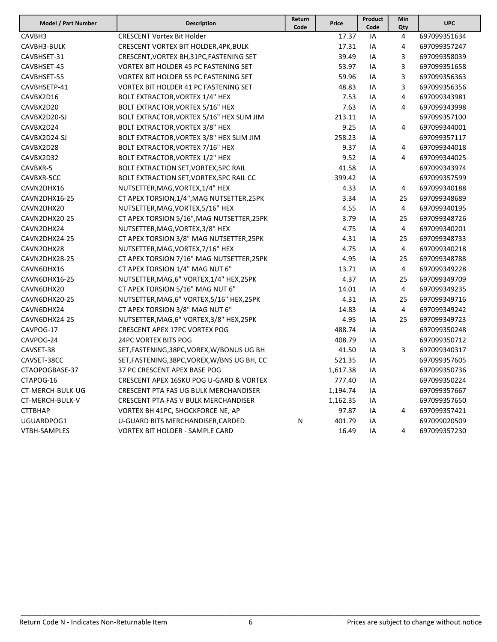| Model / Part Number | <b>Description</b>                           | Return<br>Code | Price    | Product<br>Code | Min<br>Qty     | <b>UPC</b>   |
|---------------------|----------------------------------------------|----------------|----------|-----------------|----------------|--------------|
| CAVBH3              | <b>CRESCENT Vortex Bit Holder</b>            |                | 17.37    | IA              | 4              | 697099351634 |
| CAVBH3-BULK         | CRESCENT VORTEX BIT HOLDER, 4PK, BULK        |                | 17.31    | IA              | 4              | 697099357247 |
| CAVBHSET-31         | CRESCENT, VORTEX BH, 31PC, FASTENING SET     |                | 39.49    | IA              | 3              | 697099358039 |
| CAVBHSET-45         | <b>VORTEX BIT HOLDER 45 PC FASTENING SET</b> |                | 53.97    | IA              | 3              | 697099351658 |
| CAVBHSET-55         | <b>VORTEX BIT HOLDER 55 PC FASTENING SET</b> |                | 59.96    | IA              | 3              | 697099356363 |
| CAVBHSETP-41        | <b>VORTEX BIT HOLDER 41 PC FASTENING SET</b> |                | 48.83    | IA              | 3              | 697099356356 |
| CAVBX2D16           | BOLT EXTRACTOR, VORTEX 1/4" HEX              |                | 7.53     | IA              | 4              | 697099343981 |
| CAVBX2D20           | BOLT EXTRACTOR, VORTEX 5/16" HEX             |                | 7.63     | IA              | 4              | 697099343998 |
| CAVBX2D20-SJ        | BOLT EXTRACTOR, VORTEX 5/16" HEX SLIM JIM    |                | 213.11   | IA              |                | 697099357100 |
| CAVBX2D24           | BOLT EXTRACTOR, VORTEX 3/8" HEX              |                | 9.25     | IA              | 4              | 697099344001 |
| CAVBX2D24-SJ        | BOLT EXTRACTOR, VORTEX 3/8" HEX SLIM JIM     |                | 258.23   | IA              |                | 697099357117 |
| CAVBX2D28           | BOLT EXTRACTOR, VORTEX 7/16" HEX             |                | 9.37     | IA              | 4              | 697099344018 |
| CAVBX2D32           | BOLT EXTRACTOR, VORTEX 1/2" HEX              |                | 9.52     | IA              | 4              | 697099344025 |
| CAVBXR-5            | BOLT EXTRACTION SET, VORTEX, 5PC RAIL        |                | 41.58    | IA              |                | 697099343974 |
| CAVBXR-5CC          | BOLT EXTRACTION SET, VORTEX, 5PC RAIL CC     |                | 399.42   | IA              |                | 697099357599 |
| CAVN2DHX16          | NUTSETTER, MAG, VORTEX, 1/4" HEX             |                | 4.33     | IA              | 4              | 697099340188 |
| CAVN2DHX16-25       | CT APEX TORSION, 1/4", MAG NUTSETTER, 25PK   |                | 3.34     | IA              | 25             | 697099348689 |
| CAVN2DHX20          | NUTSETTER, MAG, VORTEX, 5/16" HEX            |                | 4.55     | ΙA              | 4              | 697099340195 |
| CAVN2DHX20-25       | CT APEX TORSION 5/16", MAG NUTSETTER, 25PK   |                | 3.79     | IA              | 25             | 697099348726 |
| CAVN2DHX24          | NUTSETTER, MAG, VORTEX, 3/8" HEX             |                | 4.75     | IA              | $\overline{4}$ | 697099340201 |
| CAVN2DHX24-25       | CT APEX TORSION 3/8" MAG NUTSETTER, 25PK     |                | 4.31     | IA              | 25             | 697099348733 |
| CAVN2DHX28          | NUTSETTER, MAG, VORTEX, 7/16" HEX            |                | 4.75     | IA              | 4              | 697099340218 |
| CAVN2DHX28-25       | CT APEX TORSION 7/16" MAG NUTSETTER, 25PK    |                | 4.95     | IA              | 25             | 697099348788 |
| CAVN6DHX16          | CT APEX TORSION 1/4" MAG NUT 6"              |                | 13.71    | IA              | 4              | 697099349228 |
| CAVN6DHX16-25       | NUTSETTER, MAG, 6" VORTEX, 1/4" HEX, 25PK    |                | 4.37     | IA              | 25             | 697099349709 |
| CAVN6DHX20          | CT APEX TORSION 5/16" MAG NUT 6"             |                | 14.01    | IA              | 4              | 697099349235 |
| CAVN6DHX20-25       | NUTSETTER, MAG, 6" VORTEX, 5/16" HEX, 25PK   |                | 4.31     | IA              | 25             | 697099349716 |
| CAVN6DHX24          | CT APEX TORSION 3/8" MAG NUT 6"              |                | 14.83    | IA              | 4              | 697099349242 |
| CAVN6DHX24-25       | NUTSETTER, MAG, 6" VORTEX, 3/8" HEX, 25PK    |                | 4.95     | IA              | 25             | 697099349723 |
| CAVPOG-17           | <b>CRESCENT APEX 17PC VORTEX POG</b>         |                | 488.74   | IA              |                | 697099350248 |
| CAVPOG-24           | <b>24PC VORTEX BITS POG</b>                  |                | 408.79   | IA              |                | 697099350712 |
| CAVSET-38           | SET, FASTENING, 38PC, VOREX, W/BONUS UG BH   |                | 41.50    | IA              | 3              | 697099340317 |
| CAVSET-38CC         | SET, FASTENING, 38PC, VOREX, W/BNS UG BH, CC |                | 521.35   | IA              |                | 697099357605 |
| CTAOPOGBASE-37      | 37 PC CRESCENT APEX BASE POG                 |                | 1,617.38 | IA              |                | 697099350736 |
| CTAPOG-16           | CRESCENT APEX 16SKU POG U-GARD & VORTEX      |                | 777.40   | IA              |                | 697099350224 |
| CT-MERCH-BULK-UG    | <b>CRESCENT PTA FAS UG BULK MERCHANDISER</b> |                | 1,194.74 | IA              |                | 697099357667 |
| CT-MERCH-BULK-V     | CRESCENT PTA FAS V BULK MERCHANDISER         |                | 1,162.35 | IA              |                | 697099357650 |
| <b>CTTBHAP</b>      | VORTEX BH 41PC, SHOCKFORCE NE, AP            |                | 97.87    | IA              | 4              | 697099357421 |
| UGUARDPOG1          | U-GUARD BITS MERCHANDISER, CARDED            | N              | 401.79   | IA              |                | 697099020509 |
| VTBH-SAMPLES        | <b>VORTEX BIT HOLDER - SAMPLE CARD</b>       |                | 16.49    | IA              | 4              | 697099357230 |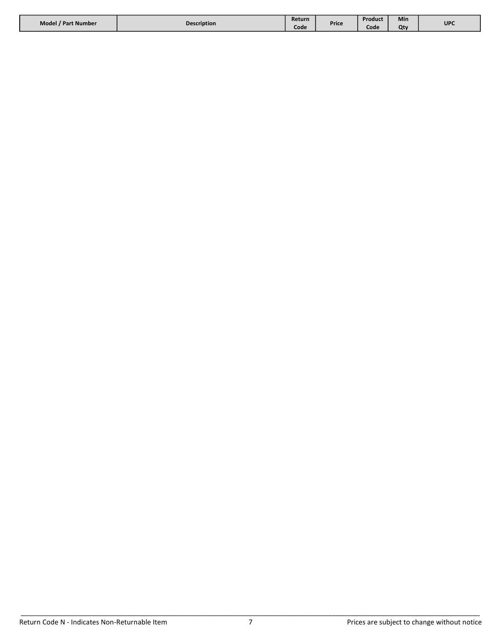| Model / Part Number | <b>Description</b> | Return |       | Product | Min |     |
|---------------------|--------------------|--------|-------|---------|-----|-----|
|                     |                    | Code   | Price | Code    | Ot۱ | UPC |